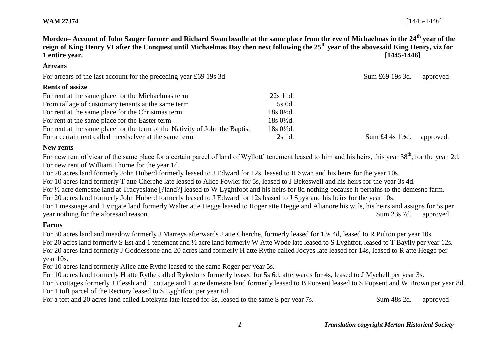**Arrears**

**Morden– Account of John Sauger farmer and Richard Swan beadle at the same place from the eve of Michaelmas in the 24th year of the reign of King Henry VI after the Conquest until Michaelmas Day then next following the 25th year of the abovesaid King Henry, viz for 1 entire year. [1445-1446]**

# For arrears of the last account for the preceding year £69 19s 3d Sum £69 19s 3d. approved **Rents of assize** For rent at the same place for the Michaelmas term 22s 11d. From tallage of customary tenants at the same term 5s 0d. For rent at the same place for the Christmas term 18s 0<sup>1</sup>/<sub>2d</sub>. For rent at the same place for the Easter term 18s 0<sup>1/2</sup>d. For rent at the same place for the term of the Nativity of John the Baptist 18s 0½d. For a certain rent called meedselver at the same term 2s 1d. Sum £4 4s 1<sup>1</sup>/<sub>2d</sub>. approved.

#### **New rents**

For new rent of vicar of the same place for a certain parcel of land of Wyllott' tenement leased to him and his heirs, this year 38<sup>th</sup>, for the year 2d. For new rent of William Thorne for the year 1d.

For 20 acres land formerly John Huberd formerly leased to J Edward for 12s, leased to R Swan and his heirs for the year 10s.

For 10 acres land formerly T atte Cherche late leased to Alice Fowler for 5s, leased to J Bekeswell and his heirs for the year 3s 4d.

For ½ acre demesne land at Tracyeslane [?land?] leased to W Lyghtfoot and his heirs for 8d nothing because it pertains to the demesne farm.

For 20 acres land formerly John Huberd formerly leased to J Edward for 12s leased to J Spyk and his heirs for the year 10s.

For 1 messuage and 1 virgate land formerly Walter atte Hegge leased to Roger atte Hegge and Alianore his wife, his heirs and assigns for 5s per year nothing for the aforesaid reason. Sum 23s 7d. approved

# **Farms**

For 30 acres land and meadow formerly J Marreys afterwards J atte Cherche, formerly leased for 13s 4d, leased to R Pulton per year 10s. For 20 acres land formerly S Est and 1 tenement and ½ acre land formerly W Atte Wode late leased to S Lyghtfot, leased to T Baylly per year 12s. For 20 acres land formerly J Goddessone and 20 acres land formerly H atte Rythe called Jocyes late leased for 14s, leased to R atte Hegge per year 10s.

For 10 acres land formerly Alice atte Rythe leased to the same Roger per year 5s.

For 10 acres land formerly H atte Rythe called Rykedons formerly leased for 5s 6d, afterwards for 4s, leased to J Mychell per year 3s.

For 3 cottages formerly J Flessh and 1 cottage and 1 acre demesne land formerly leased to B Popsent leased to S Popsent and W Brown per year 8d. For 1 toft parcel of the Rectory leased to S Lyghtfoot per year 6d.

For a toft and 20 acres land called Lotekyns late leased for 8s, leased to the same S per year 7s. Sum 48s 2d. approved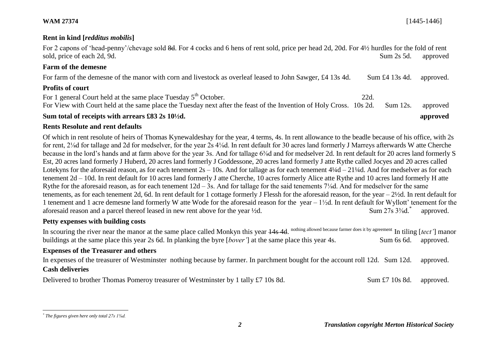**WAM 27374** [1445-1446]

#### **Rent in kind [***redditus mobilis***]**

For 2 capons of 'head-penny'/chevage sold 8d. For 4 cocks and 6 hens of rent sold, price per head 2d, 20d. For 4½ hurdles for the fold of rent sold, price of each 2d, 9d.  $\Box$  Sum 2s 5d. approved

# **Farm of the demesne**

| For farm of the demesne of the manor with corn and livestock as overleaf leased to John Sawger, £4 13s 4d.<br>Sum $\pounds$ 4 13s 4d. approved. |  |
|-------------------------------------------------------------------------------------------------------------------------------------------------|--|
|-------------------------------------------------------------------------------------------------------------------------------------------------|--|

### **Profits of court**

For 1 general Court held at the same place Tuesday  $5<sup>th</sup>$  October. 22d. For View with Court held at the same place the Tuesday next after the feast of the Invention of Holy Cross. 10s 2d. Sum 12s. approved

# **Sum total of receipts with arrears £83 2s 10½d. approved**

# **Rents Resolute and rent defaults**

Of which in rent resolute of heirs of Thomas Kynewaldeshay for the year, 4 terms, 4s. In rent allowance to the beadle because of his office, with 2s for rent, 2⅛d for tallage and 2d for medselver, for the year 2s 4⅛d. In rent default for 30 acres land formerly J Marreys afterwards W atte Cherche because in the lord's hands and at farm above for the year 3s. And for tallage 6<sup>3</sup>/<sub>8</sub>d and for medselver 2d. In rent default for 20 acres land formerly S Est, 20 acres land formerly J Huberd, 20 acres land formerly J Goddessone, 20 acres land formerly J atte Rythe called Jocyes and 20 acres called Lotekyns for the aforesaid reason, as for each tenement  $2s - 10s$ . And for tallage as for each tenement  $4\frac{1}{4}d - 21\frac{1}{4}d$ . And for medselver as for each tenement 2d – 10d. In rent default for 10 acres land formerly J atte Cherche, 10 acres formerly Alice atte Rythe and 10 acres land formerly H atte Rythe for the aforesaid reason, as for each tenement 12d – 3s. And for tallage for the said tenements 7⅛d. And for medselver for the same tenements, as for each tenement 2d, 6d. In rent default for 1 cottage formerly J Flessh for the aforesaid reason, for the year – 2½d. In rent default for 1 tenement and 1 acre demesne land formerly W atte Wode for the aforesaid reason for the year – 1½d. In rent default for Wyllott' tenement for the aforesaid reason and a parcel thereof leased in new rent above for the year  $\frac{1}{2}d$ . Sum 27s 3<sup>3</sup>/<sub>8</sub>d.<sup>\*</sup> approved.

# **Petty expenses with building costs**

In scouring the river near the manor at the same place called Monkyn this year  $\frac{14s}{4d}$ . nothing allowed because farmer does it by agreement In tiling [*tect'*] manor buildings at the same place this year 2s 6d. In planking the byre [*bover'*] at the same place this year 4s. Sum 6s 6d. approved.

### **Expenses of the Treasurer and others**

In expenses of the treasurer of Westminster nothing because by farmer. In parchment bought for the account roll 12d. Sum 12d. approved. **Cash deliveries**

Delivered to brother Thomas Pomeroy treasurer of Westminster by 1 tally £7 10s 8d. Sum £7 10s 8d. approved.

l

*<sup>\*</sup> The figures given here only total 27s 1⅜d.*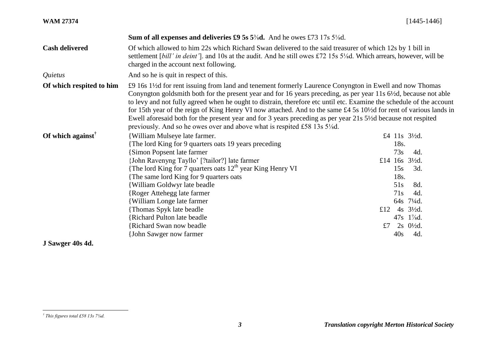| <b>WAM 27374</b>                                    |                                                                                                                                                                                                                                                                                                                                                                                                                                                                                                                                                                                                                                                                                                               | $[1445 - 1446]$                                                                                                                                                                          |  |
|-----------------------------------------------------|---------------------------------------------------------------------------------------------------------------------------------------------------------------------------------------------------------------------------------------------------------------------------------------------------------------------------------------------------------------------------------------------------------------------------------------------------------------------------------------------------------------------------------------------------------------------------------------------------------------------------------------------------------------------------------------------------------------|------------------------------------------------------------------------------------------------------------------------------------------------------------------------------------------|--|
|                                                     | <b>Sum of all expenses and deliveries £9 5s 5%d.</b> And he owes £73 17s 5%d.                                                                                                                                                                                                                                                                                                                                                                                                                                                                                                                                                                                                                                 |                                                                                                                                                                                          |  |
| <b>Cash delivered</b>                               | Of which allowed to him 22s which Richard Swan delivered to the said treasurer of which 12s by 1 bill in<br>settlement [bill' in deint'], and 10s at the audit. And he still owes £72 15s 5 <sup>1</sup> / <sub>8</sub> d. Which arrears, however, will be<br>charged in the account next following.                                                                                                                                                                                                                                                                                                                                                                                                          |                                                                                                                                                                                          |  |
| Quietus                                             | And so he is quit in respect of this.                                                                                                                                                                                                                                                                                                                                                                                                                                                                                                                                                                                                                                                                         |                                                                                                                                                                                          |  |
| Of which respited to him                            | £9 16s 1½d for rent issuing from land and tenement formerly Laurence Conyngton in Ewell and now Thomas<br>Conyngton goldsmith both for the present year and for 16 years preceding, as per year 11s 6 <sup>1</sup> /2d, because not able<br>to levy and not fully agreed when he ought to distrain, therefore etc until etc. Examine the schedule of the account<br>for 15th year of the reign of King Henry VI now attached. And to the same £4.5s 10½ d for rent of various lands in<br>Ewell aforesaid both for the present year and for 3 years preceding as per year 21s 5½ dbecause not respited<br>previously. And so he owes over and above what is respited £58 13s 5 <sup>1</sup> / <sub>8</sub> d. |                                                                                                                                                                                          |  |
| Of which against <sup><math>\mathbf{r}</math></sup> | <b>William Mulseye late farmer.</b>                                                                                                                                                                                                                                                                                                                                                                                                                                                                                                                                                                                                                                                                           | £4 11s 31/2d.                                                                                                                                                                            |  |
|                                                     | {The lord King for 9 quarters oats 19 years preceding<br><b>Simon Popsent late farmer</b><br>{John Ravenyng Tayllo' [?tailor?] late farmer<br>{The lord King for 7 quarters oats $12th$ year King Henry VI<br>The same lord King for 9 quarters oats<br><b>William Goldwyr late beadle</b><br><b>Roger Attehegg late farmer</b><br><b>William Longe late farmer</b><br>{Thomas Spyk late beadle<br><b>Richard Pulton late beadle</b><br><b>{Richard Swan now beadle</b><br>{John Sawger now farmer                                                                                                                                                                                                            | 18s.<br>73s<br>4d.<br>£14 16s 3½d.<br>15s<br>3d.<br>18s.<br>51s<br>8d.<br>71s<br>4d.<br>64s 71/4d.<br>£12<br>$4s \frac{3}{2}d$ .<br>47s 1%d.<br>$2s \frac{0!}{2d}$ .<br>£7<br>4d.<br>40s |  |
| J Sawger 40s 4d.                                    |                                                                                                                                                                                                                                                                                                                                                                                                                                                                                                                                                                                                                                                                                                               |                                                                                                                                                                                          |  |

l